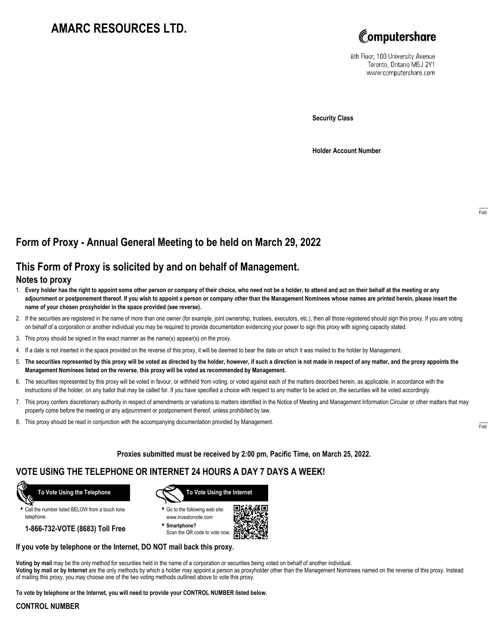## **AMARC RESOURCES LTD.**



8th Floor, 100 University Avenue Toronto, Ontario M5J 2Y1 www.computershare.com

**Security Class**

**Holder Account Number**

## **Form of Proxy - Annual General Meeting to be held on March 29, 2022**

## **This Form of Proxy is solicited by and on behalf of Management.**

#### **Notes to proxy**

- 1. **Every holder has the right to appoint some other person or company of their choice, who need not be a holder, to attend and act on their behalf at the meeting or any adjournment or postponement thereof. If you wish to appoint a person or company other than the Management Nominees whose names are printed herein, please insert the name of your chosen proxyholder in the space provided (see reverse).**
- 2. If the securities are registered in the name of more than one owner (for example, joint ownership, trustees, executors, etc.), then all those registered should sign this proxy. If you are voting on behalf of a corporation or another individual you may be required to provide documentation evidencing your power to sign this proxy with signing capacity stated.
- 3. This proxy should be signed in the exact manner as the name(s) appear(s) on the proxy.
- 4. If a date is not inserted in the space provided on the reverse of this proxy, it will be deemed to bear the date on which it was mailed to the holder by Management.
- 5. **The securities represented by this proxy will be voted as directed by the holder, however, if such a direction is not made in respect of any matter, and the proxy appoints the Management Nominees listed on the reverse, this proxy will be voted as recommended by Management.**
- 6. The securities represented by this proxy will be voted in favour, or withheld from voting, or voted against each of the matters described herein, as applicable, in accordance with the instructions of the holder, on any ballot that may be called for. If you have specified a choice with respect to any matter to be acted on, the securities will be voted accordingly.
- 7. This proxy confers discretionary authority in respect of amendments or variations to matters identified in the Notice of Meeting and Management Information Circular or other matters that may properly come before the meeting or any adjournment or postponement thereof, unless prohibited by law.
- 8. This proxy should be read in conjunction with the accompanying documentation provided by Management.

**Proxies submitted must be received by 2:00 pm, Pacific Time, on March 25, 2022.**

## **VOTE USING THE TELEPHONE OR INTERNET 24 HOURS A DAY 7 DAYS A WEEK!**



**•** Call the number listed BELOW from a touch tone telephone.

**1-866-732-VOTE (8683) Toll Free**



**•** Go to the following web site: www.investorvote.com

**• Smartphone?** Scan the QR code to vote now.



#### **If you vote by telephone or the Internet, DO NOT mail back this proxy.**

**Voting by mail** may be the only method for securities held in the name of a corporation or securities being voted on behalf of another individual. **Voting by mail or by Internet** are the only methods by which a holder may appoint a person as proxyholder other than the Management Nominees named on the reverse of this proxy. Instead of mailing this proxy, you may choose one of the two voting methods outlined above to vote this proxy.

**To vote by telephone or the Internet, you will need to provide your CONTROL NUMBER listed below.**

#### **CONTROL NUMBER**